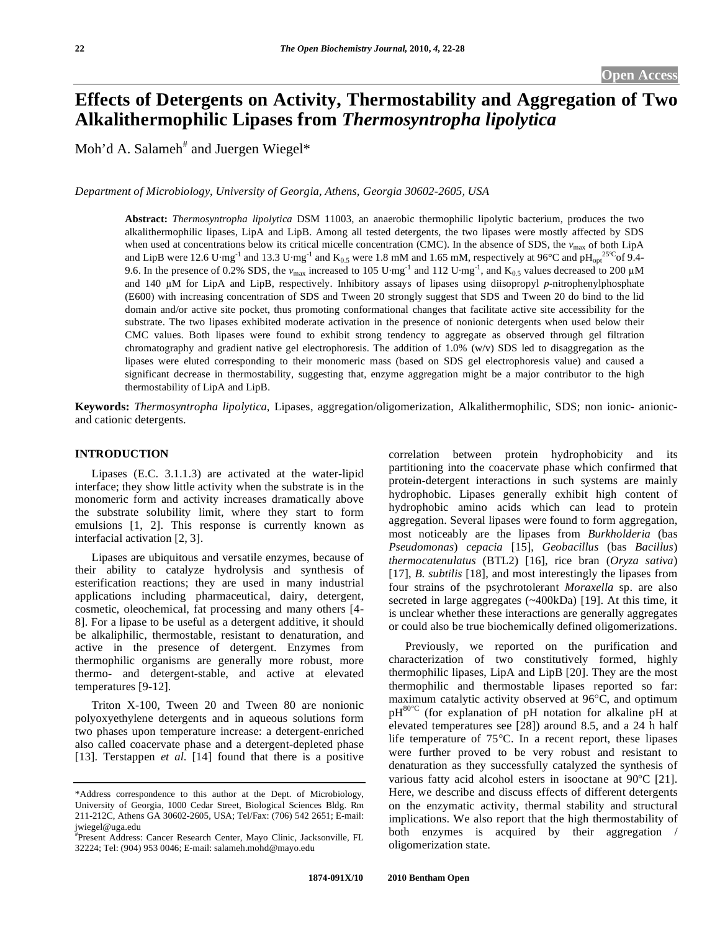# **Effects of Detergents on Activity, Thermostability and Aggregation of Two Alkalithermophilic Lipases from** *Thermosyntropha lipolytica*

Moh'd A. Salameh $^{\#}$  and Juergen Wiegel $^{\ast}$ 

*Department of Microbiology, University of Georgia, Athens, Georgia 30602-2605, USA* 

**Abstract:** *Thermosyntropha lipolytica* DSM 11003, an anaerobic thermophilic lipolytic bacterium, produces the two alkalithermophilic lipases, LipA and LipB. Among all tested detergents, the two lipases were mostly affected by SDS when used at concentrations below its critical micelle concentration (CMC). In the absence of SDS, the *v*<sub>max</sub> of both LipA and LipB were 12.6 U·mg<sup>-1</sup> and 13.3 U·mg<sup>-1</sup> and K<sub>0.5</sub> were 1.8 mM and 1.65 mM, respectively at 96°C and pH<sub>opt</sub><sup>25°C</sup>of 9.4-9.6. In the presence of 0.2% SDS, the  $v_{\text{max}}$  increased to 105 U·mg<sup>-1</sup> and 112 U·mg<sup>-1</sup>, and  $K_{0.5}$  values decreased to 200  $\mu$ M and 140 µM for LipA and LipB, respectively. Inhibitory assays of lipases using diisopropyl *p*-nitrophenylphosphate (E600) with increasing concentration of SDS and Tween 20 strongly suggest that SDS and Tween 20 do bind to the lid domain and/or active site pocket, thus promoting conformational changes that facilitate active site accessibility for the substrate. The two lipases exhibited moderate activation in the presence of nonionic detergents when used below their CMC values. Both lipases were found to exhibit strong tendency to aggregate as observed through gel filtration chromatography and gradient native gel electrophoresis. The addition of 1.0% (w/v) SDS led to disaggregation as the lipases were eluted corresponding to their monomeric mass (based on SDS gel electrophoresis value) and caused a significant decrease in thermostability, suggesting that, enzyme aggregation might be a major contributor to the high thermostability of LipA and LipB.

**Keywords:** *Thermosyntropha lipolytica*, Lipases, aggregation/oligomerization, Alkalithermophilic, SDS; non ionic- anionicand cationic detergents.

# **INTRODUCTION**

 Lipases (E.C. 3.1.1.3) are activated at the water-lipid interface; they show little activity when the substrate is in the monomeric form and activity increases dramatically above the substrate solubility limit, where they start to form emulsions [1, 2]. This response is currently known as interfacial activation [2, 3].

 Lipases are ubiquitous and versatile enzymes, because of their ability to catalyze hydrolysis and synthesis of esterification reactions; they are used in many industrial applications including pharmaceutical, dairy, detergent, cosmetic, oleochemical, fat processing and many others [4- 8]. For a lipase to be useful as a detergent additive, it should be alkaliphilic, thermostable, resistant to denaturation, and active in the presence of detergent. Enzymes from thermophilic organisms are generally more robust, more thermo- and detergent-stable, and active at elevated temperatures [9-12].

 Triton X-100, Tween 20 and Tween 80 are nonionic polyoxyethylene detergents and in aqueous solutions form two phases upon temperature increase: a detergent-enriched also called coacervate phase and a detergent-depleted phase [13]. Terstappen *et al*. [14] found that there is a positive correlation between protein hydrophobicity and its partitioning into the coacervate phase which confirmed that protein-detergent interactions in such systems are mainly hydrophobic. Lipases generally exhibit high content of hydrophobic amino acids which can lead to protein aggregation. Several lipases were found to form aggregation, most noticeably are the lipases from *Burkholderia* (bas *Pseudomonas*) *cepacia* [15], *Geobacillus* (bas *Bacillus*) *thermocatenulatus* (BTL2) [16], rice bran (*Oryza sativa*) [17], *B. subtilis* [18], and most interestingly the lipases from four strains of the psychrotolerant *Moraxella* sp. are also secreted in large aggregates (~400kDa) [19]. At this time, it is unclear whether these interactions are generally aggregates or could also be true biochemically defined oligomerizations.

 Previously, we reported on the purification and characterization of two constitutively formed, highly thermophilic lipases, LipA and LipB [20]. They are the most thermophilic and thermostable lipases reported so far: maximum catalytic activity observed at 96°C, and optimum pH80°C (for explanation of pH notation for alkaline pH at elevated temperatures see [28]) around 8.5, and a 24 h half life temperature of 75°C. In a recent report, these lipases were further proved to be very robust and resistant to denaturation as they successfully catalyzed the synthesis of various fatty acid alcohol esters in isooctane at 90ºC [21]. Here, we describe and discuss effects of different detergents on the enzymatic activity, thermal stability and structural implications. We also report that the high thermostability of both enzymes is acquired by their aggregation / oligomerization state.

<sup>\*</sup>Address correspondence to this author at the Dept. of Microbiology, University of Georgia, 1000 Cedar Street, Biological Sciences Bldg. Rm 211-212C, Athens GA 30602-2605, USA; Tel/Fax: (706) 542 2651; E-mail: jwiegel@uga.edu

<sup>#</sup> Present Address: Cancer Research Center, Mayo Clinic, Jacksonville, FL 32224; Tel: (904) 953 0046; E-mail: salameh.mohd@mayo.edu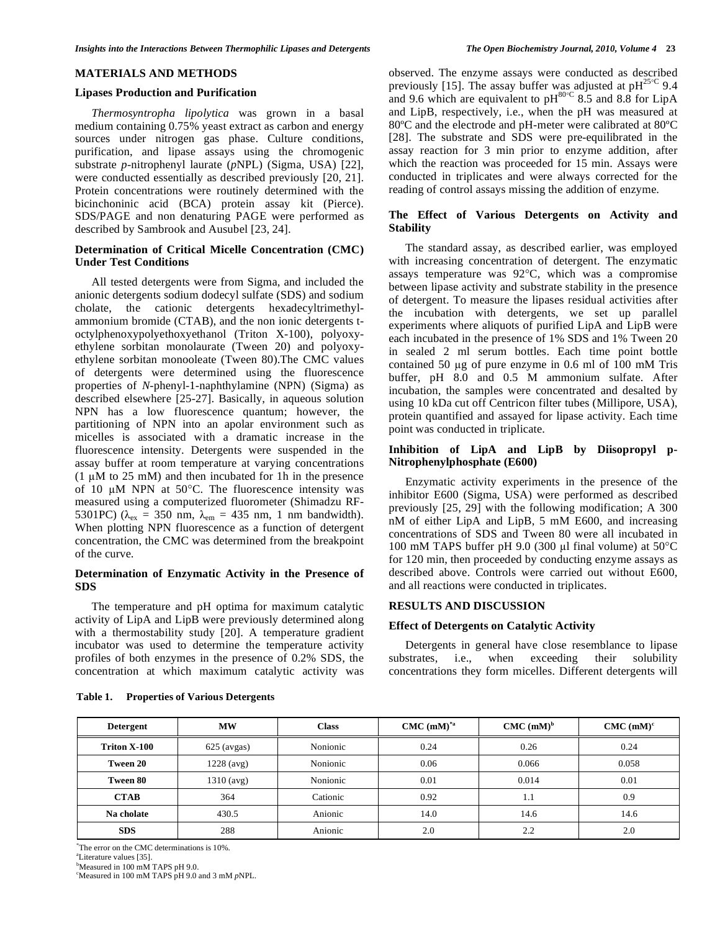#### **MATERIALS AND METHODS**

## **Lipases Production and Purification**

 *Thermosyntropha lipolytica* was grown in a basal medium containing 0.75% yeast extract as carbon and energy sources under nitrogen gas phase. Culture conditions, purification, and lipase assays using the chromogenic substrate *p*-nitrophenyl laurate (*p*NPL) (Sigma, USA) [22], were conducted essentially as described previously [20, 21]. Protein concentrations were routinely determined with the bicinchoninic acid (BCA) protein assay kit (Pierce). SDS/PAGE and non denaturing PAGE were performed as described by Sambrook and Ausubel [23, 24].

# **Determination of Critical Micelle Concentration (CMC) Under Test Conditions**

 All tested detergents were from Sigma, and included the anionic detergents sodium dodecyl sulfate (SDS) and sodium cholate, the cationic detergents hexadecyltrimethylammonium bromide (CTAB), and the non ionic detergents toctylphenoxypolyethoxyethanol (Triton X-100), polyoxyethylene sorbitan monolaurate (Tween 20) and polyoxyethylene sorbitan monooleate (Tween 80).The CMC values of detergents were determined using the fluorescence properties of *N*-phenyl-1-naphthylamine (NPN) (Sigma) as described elsewhere [25-27]. Basically, in aqueous solution NPN has a low fluorescence quantum; however, the partitioning of NPN into an apolar environment such as micelles is associated with a dramatic increase in the fluorescence intensity. Detergents were suspended in the assay buffer at room temperature at varying concentrations (1  $\mu$ M to 25 mM) and then incubated for 1h in the presence of 10  $\mu$ M NPN at 50°C. The fluorescence intensity was measured using a computerized fluorometer (Shimadzu RF-5301PC) ( $\lambda_{\rm ex} = 350$  nm,  $\lambda_{\rm em} = 435$  nm, 1 nm bandwidth). When plotting NPN fluorescence as a function of detergent concentration, the CMC was determined from the breakpoint of the curve.

## **Determination of Enzymatic Activity in the Presence of SDS**

 The temperature and pH optima for maximum catalytic activity of LipA and LipB were previously determined along with a thermostability study [20]. A temperature gradient incubator was used to determine the temperature activity profiles of both enzymes in the presence of 0.2% SDS, the concentration at which maximum catalytic activity was

observed. The enzyme assays were conducted as described previously [15]. The assay buffer was adjusted at  $pH^{25\degree C}$  9.4 and 9.6 which are equivalent to  $pH^{80\degree C}$  8.5 and 8.8 for LipA and LipB, respectively, i.e., when the pH was measured at 80ºC and the electrode and pH-meter were calibrated at 80ºC [28]. The substrate and SDS were pre-equilibrated in the assay reaction for 3 min prior to enzyme addition, after which the reaction was proceeded for 15 min. Assays were conducted in triplicates and were always corrected for the reading of control assays missing the addition of enzyme.

# **The Effect of Various Detergents on Activity and Stability**

 The standard assay, as described earlier, was employed with increasing concentration of detergent. The enzymatic assays temperature was 92°C, which was a compromise between lipase activity and substrate stability in the presence of detergent. To measure the lipases residual activities after the incubation with detergents, we set up parallel experiments where aliquots of purified LipA and LipB were each incubated in the presence of 1% SDS and 1% Tween 20 in sealed 2 ml serum bottles. Each time point bottle contained 50  $\mu$ g of pure enzyme in 0.6 ml of 100 mM Tris buffer, pH 8.0 and 0.5 M ammonium sulfate. After incubation, the samples were concentrated and desalted by using 10 kDa cut off Centricon filter tubes (Millipore, USA), protein quantified and assayed for lipase activity. Each time point was conducted in triplicate.

#### **Inhibition of LipA and LipB by Diisopropyl p-Nitrophenylphosphate (E600)**

 Enzymatic activity experiments in the presence of the inhibitor E600 (Sigma, USA) were performed as described previously [25, 29] with the following modification; A 300 nM of either LipA and LipB, 5 mM E600, and increasing concentrations of SDS and Tween 80 were all incubated in 100 mM TAPS buffer pH 9.0 (300  $\mu$ l final volume) at 50°C for 120 min, then proceeded by conducting enzyme assays as described above. Controls were carried out without E600, and all reactions were conducted in triplicates.

## **RESULTS AND DISCUSSION**

#### **Effect of Detergents on Catalytic Activity**

 Detergents in general have close resemblance to lipase substrates, i.e., when exceeding their solubility concentrations they form micelles. Different detergents will

| <b>Detergent</b>    | <b>MW</b>     | <b>Class</b> | $CMC (mM)*$ | $CMC$ (mM) <sup>b</sup> | $CMC$ (mM) <sup>c</sup> |
|---------------------|---------------|--------------|-------------|-------------------------|-------------------------|
| <b>Triton X-100</b> | $625$ (avgas) | Nonionic     | 0.24        | 0.26                    | 0.24                    |
| <b>Tween 20</b>     | $1228$ (avg)  | Nonionic     | 0.06        | 0.066                   | 0.058                   |
| <b>Tween 80</b>     | $1310$ (avg)  | Nonionic     | 0.01        | 0.014                   | 0.01                    |
| <b>CTAB</b>         | 364           | Cationic     | 0.92        | 1.1                     | 0.9                     |
| Na cholate          | 430.5         | Anionic      | 14.0        | 14.6                    | 14.6                    |
| <b>SDS</b>          | 288           | Anionic      | 2.0         | 2.2                     | 2.0                     |

**Table 1. Properties of Various Detergents** 

\* The error on the CMC determinations is 10%.

<sup>a</sup>Literature values [35].

 $\mu_{\text{Maxured in 100 mM TAPS pH 9.0}}^{\text{b}}$ 

Measured in 100 mM TAPS pH 9.0 and 3 mM *p*NPL.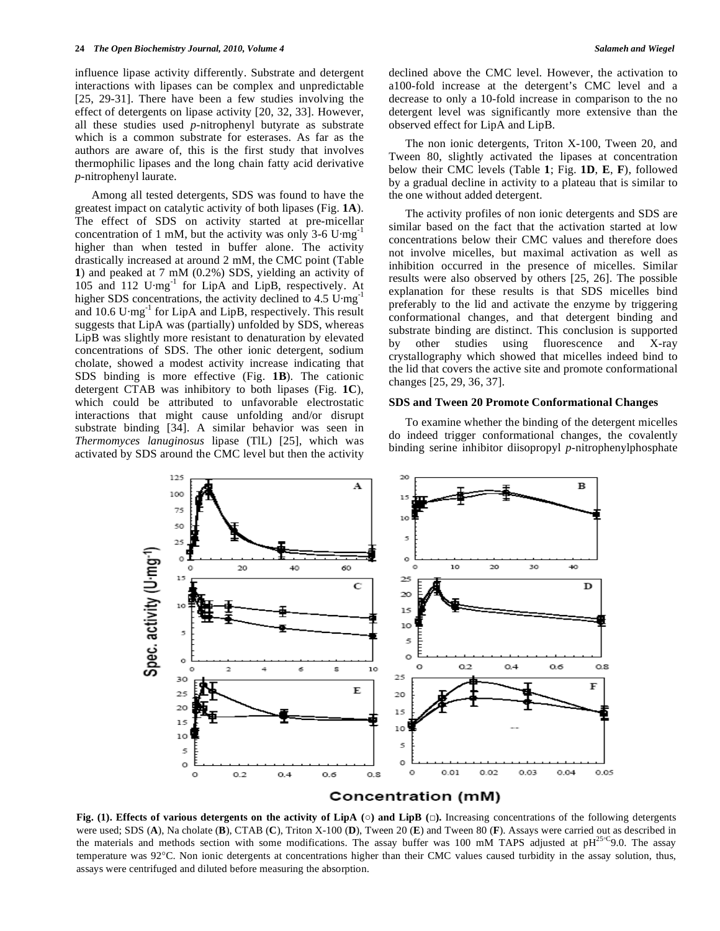influence lipase activity differently. Substrate and detergent interactions with lipases can be complex and unpredictable [25, 29-31]. There have been a few studies involving the effect of detergents on lipase activity [20, 32, 33]. However, all these studies used *p*-nitrophenyl butyrate as substrate which is a common substrate for esterases. As far as the authors are aware of, this is the first study that involves thermophilic lipases and the long chain fatty acid derivative *p*-nitrophenyl laurate.

 Among all tested detergents, SDS was found to have the greatest impact on catalytic activity of both lipases (Fig. **1A**). The effect of SDS on activity started at pre-micellar concentration of 1 mM, but the activity was only 3-6  $U·mg^{-1}$ higher than when tested in buffer alone. The activity drastically increased at around 2 mM, the CMC point (Table **1**) and peaked at 7 mM (0.2%) SDS, yielding an activity of 105 and 112 U·mg<sup>-1</sup> for LipA and LipB, respectively. At higher SDS concentrations, the activity declined to 4.5 U·mg<sup>-1</sup> and  $10.6 \text{ U·mg}^{-1}$  for LipA and LipB, respectively. This result suggests that LipA was (partially) unfolded by SDS, whereas LipB was slightly more resistant to denaturation by elevated concentrations of SDS. The other ionic detergent, sodium cholate, showed a modest activity increase indicating that SDS binding is more effective (Fig. **1B**). The cationic detergent CTAB was inhibitory to both lipases (Fig. **1C**), which could be attributed to unfavorable electrostatic interactions that might cause unfolding and/or disrupt substrate binding [34]. A similar behavior was seen in *Thermomyces lanuginosus* lipase (TlL) [25], which was activated by SDS around the CMC level but then the activity declined above the CMC level. However, the activation to a100-fold increase at the detergent's CMC level and a decrease to only a 10-fold increase in comparison to the no detergent level was significantly more extensive than the observed effect for LipA and LipB.

 The non ionic detergents, Triton X-100, Tween 20, and Tween 80, slightly activated the lipases at concentration below their CMC levels (Table **1**; Fig. **1D**, **E**, **F**), followed by a gradual decline in activity to a plateau that is similar to the one without added detergent.

 The activity profiles of non ionic detergents and SDS are similar based on the fact that the activation started at low concentrations below their CMC values and therefore does not involve micelles, but maximal activation as well as inhibition occurred in the presence of micelles. Similar results were also observed by others [25, 26]. The possible explanation for these results is that SDS micelles bind preferably to the lid and activate the enzyme by triggering conformational changes, and that detergent binding and substrate binding are distinct. This conclusion is supported by other studies using fluorescence and X-ray crystallography which showed that micelles indeed bind to the lid that covers the active site and promote conformational changes [25, 29, 36, 37].

#### **SDS and Tween 20 Promote Conformational Changes**

 To examine whether the binding of the detergent micelles do indeed trigger conformational changes, the covalently binding serine inhibitor diisopropyl *p*-nitrophenylphosphate



**Fig. (1). Effects of various detergents on the activity of LipA (** $\circ$ **) and LipB (** $\Box$ **). Increasing concentrations of the following detergents** were used; SDS (**A**), Na cholate (**B**), CTAB (**C**), Triton X-100 (**D**), Tween 20 (**E**) and Tween 80 (**F**). Assays were carried out as described in the materials and methods section with some modifications. The assay buffer was 100 mM TAPS adjusted at  $pH^{25}C9.0$ . The assay temperature was 92°C. Non ionic detergents at concentrations higher than their CMC values caused turbidity in the assay solution, thus, assays were centrifuged and diluted before measuring the absorption.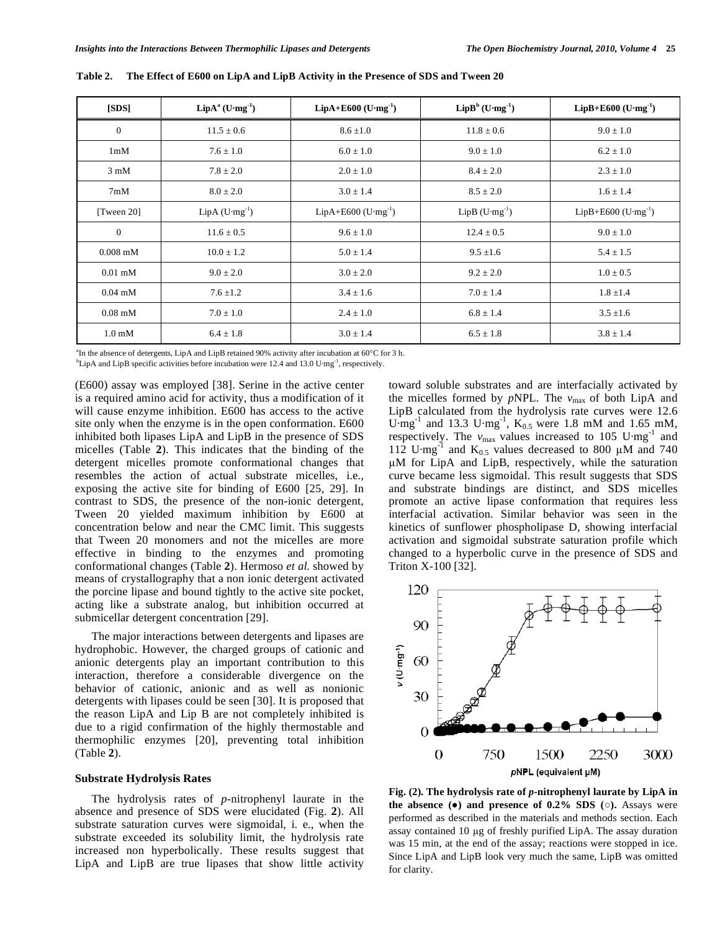| [SDS]                     | $LipAa(U·mg-1)$ | LipA+E600 ( $U$ ·mg <sup>-1</sup> ) | $LipBb$ (U·mg <sup>-1</sup> ) | LipB+E600 ( $U$ ·mg <sup>-1</sup> ) |
|---------------------------|-----------------|-------------------------------------|-------------------------------|-------------------------------------|
| $\mathbf{0}$              | $11.5 \pm 0.6$  | $8.6 \pm 1.0$                       | $11.8 \pm 0.6$                | $9.0 \pm 1.0$                       |
| 1mM                       | $7.6 \pm 1.0$   | $6.0 \pm 1.0$                       | $9.0 \pm 1.0$                 | $6.2 \pm 1.0$                       |
| $3 \text{ mM}$            | $7.8 \pm 2.0$   | $2.0 \pm 1.0$                       | $8.4 \pm 2.0$                 | $2.3 \pm 1.0$                       |
| 7mM                       | $8.0 \pm 2.0$   | $3.0 \pm 1.4$                       | $8.5 \pm 2.0$                 | $1.6 \pm 1.4$                       |
| [Tween 20]                | $LipA (U·mg-1)$ | LipA+E600 $(U·mg-1)$                | LipB $(U·mg-1)$               | LipB+E600 $(U·mg-1)$                |
| $\mathbf{0}$              | $11.6 \pm 0.5$  | $9.6 \pm 1.0$                       | $12.4 \pm 0.5$                | $9.0 \pm 1.0$                       |
| $0.008$ mM                | $10.0 \pm 1.2$  | $5.0 \pm 1.4$                       | $9.5 \pm 1.6$                 | $5.4 \pm 1.5$                       |
| $0.01$ mM                 | $9.0 \pm 2.0$   | $3.0 \pm 2.0$                       | $9.2 \pm 2.0$                 | $1.0 \pm 0.5$                       |
| $0.04$ mM                 | $7.6 \pm 1.2$   | $3.4 \pm 1.6$                       | $7.0 \pm 1.4$                 | $1.8 \pm 1.4$                       |
| $0.08$ mM                 | $7.0 \pm 1.0$   | $2.4 \pm 1.0$                       | $6.8 \pm 1.4$                 | $3.5 \pm 1.6$                       |
| $1.0 \text{ }\mathrm{mM}$ | $6.4 \pm 1.8$   | $3.0 \pm 1.4$                       | $6.5 \pm 1.8$                 | $3.8 \pm 1.4$                       |

**Table 2. The Effect of E600 on LipA and LipB Activity in the Presence of SDS and Tween 20** 

<sup>a</sup>In the absence of detergents, LipA and LipB retained 90% activity after incubation at 60°C for 3 h. b<br><sup>b</sup>I in A and LipB grasific activities hafare in whation ware 13.4 and 12.0 U ma<sup>-1</sup> geometricaly

<sup>b</sup>LipA and LipB specific activities before incubation were 12.4 and 13.0 U·mg<sup>-1</sup>, respectively.

(E600) assay was employed [38]. Serine in the active center is a required amino acid for activity, thus a modification of it will cause enzyme inhibition. E600 has access to the active site only when the enzyme is in the open conformation. E600 inhibited both lipases LipA and LipB in the presence of SDS micelles (Table **2**). This indicates that the binding of the detergent micelles promote conformational changes that resembles the action of actual substrate micelles, i.e., exposing the active site for binding of E600 [25, 29]. In contrast to SDS, the presence of the non-ionic detergent, Tween 20 yielded maximum inhibition by E600 at concentration below and near the CMC limit. This suggests that Tween 20 monomers and not the micelles are more effective in binding to the enzymes and promoting conformational changes (Table **2**). Hermoso *et al.* showed by means of crystallography that a non ionic detergent activated the porcine lipase and bound tightly to the active site pocket, acting like a substrate analog, but inhibition occurred at submicellar detergent concentration [29].

 The major interactions between detergents and lipases are hydrophobic. However, the charged groups of cationic and anionic detergents play an important contribution to this interaction, therefore a considerable divergence on the behavior of cationic, anionic and as well as nonionic detergents with lipases could be seen [30]. It is proposed that the reason LipA and Lip B are not completely inhibited is due to a rigid confirmation of the highly thermostable and thermophilic enzymes [20], preventing total inhibition (Table **2**).

## **Substrate Hydrolysis Rates**

 The hydrolysis rates of *p*-nitrophenyl laurate in the absence and presence of SDS were elucidated (Fig. **2**). All substrate saturation curves were sigmoidal, i. e., when the substrate exceeded its solubility limit, the hydrolysis rate increased non hyperbolically. These results suggest that LipA and LipB are true lipases that show little activity toward soluble substrates and are interfacially activated by the micelles formed by *pNPL*. The  $v_{\text{max}}$  of both LipA and LipB calculated from the hydrolysis rate curves were 12.6  $U·mg^{-1}$  and 13.3  $U·mg^{-1}$ ,  $K_{0.5}$  were 1.8 mM and 1.65 mM, respectively. The  $v_{\text{max}}$  values increased to 105 U·mg<sup>-1</sup> and 112 U·mg<sup>-1</sup> and  $K_{0.5}$  values decreased to 800  $\mu$ M and 740 M for LipA and LipB, respectively, while the saturation curve became less sigmoidal. This result suggests that SDS and substrate bindings are distinct, and SDS micelles promote an active lipase conformation that requires less interfacial activation. Similar behavior was seen in the kinetics of sunflower phospholipase D, showing interfacial activation and sigmoidal substrate saturation profile which changed to a hyperbolic curve in the presence of SDS and Triton X-100 [32].



**Fig. (2). The hydrolysis rate of** *p***-nitrophenyl laurate by LipA in the absence (** $\bullet$ **) and presence of 0.2% SDS (** $\circ$ **). Assays were** performed as described in the materials and methods section. Each assay contained 10 µg of freshly purified LipA. The assay duration was 15 min, at the end of the assay; reactions were stopped in ice. Since LipA and LipB look very much the same, LipB was omitted for clarity.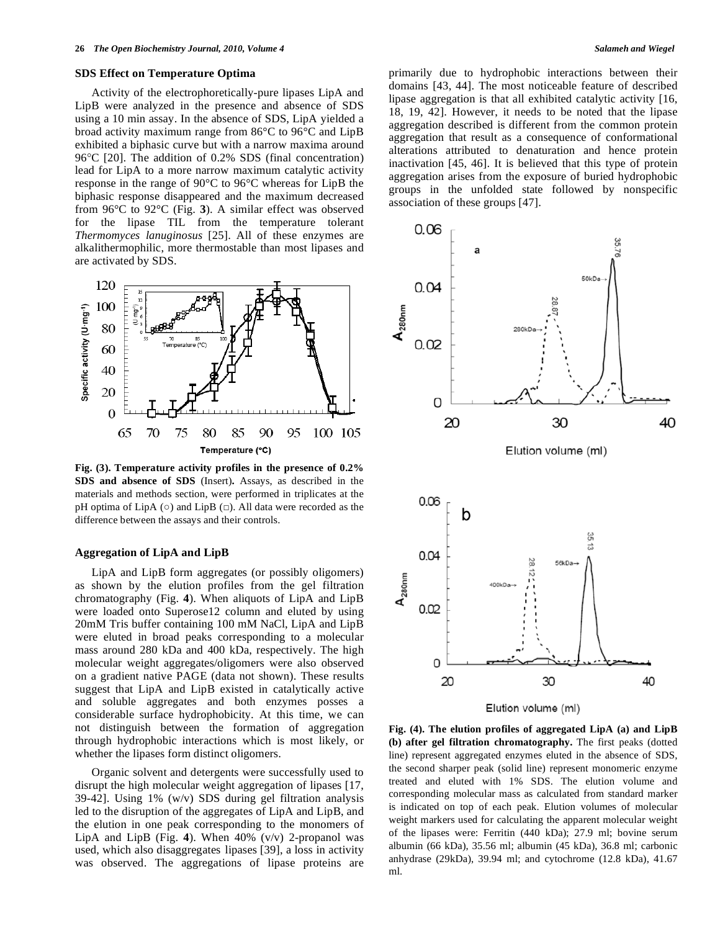#### **SDS Effect on Temperature Optima**

 Activity of the electrophoretically-pure lipases LipA and LipB were analyzed in the presence and absence of SDS using a 10 min assay. In the absence of SDS, LipA yielded a broad activity maximum range from 86°C to 96°C and LipB exhibited a biphasic curve but with a narrow maxima around 96°C [20]. The addition of 0.2% SDS (final concentration) lead for LipA to a more narrow maximum catalytic activity response in the range of 90°C to 96°C whereas for LipB the biphasic response disappeared and the maximum decreased from 96°C to 92°C (Fig. **3**). A similar effect was observed for the lipase TIL from the temperature tolerant *Thermomyces lanuginosus* [25]. All of these enzymes are alkalithermophilic, more thermostable than most lipases and are activated by SDS.



**Fig. (3). Temperature activity profiles in the presence of 0.2% SDS and absence of SDS** (Insert)**.** Assays, as described in the materials and methods section, were performed in triplicates at the pH optima of  $LipA$  ( $\circ$ ) and  $LipB$  ( $\Box$ ). All data were recorded as the difference between the assays and their controls.

#### **Aggregation of LipA and LipB**

 LipA and LipB form aggregates (or possibly oligomers) as shown by the elution profiles from the gel filtration chromatography (Fig. **4**). When aliquots of LipA and LipB were loaded onto Superose12 column and eluted by using 20mM Tris buffer containing 100 mM NaCl, LipA and LipB were eluted in broad peaks corresponding to a molecular mass around 280 kDa and 400 kDa, respectively. The high molecular weight aggregates/oligomers were also observed on a gradient native PAGE (data not shown). These results suggest that LipA and LipB existed in catalytically active and soluble aggregates and both enzymes posses a considerable surface hydrophobicity. At this time, we can not distinguish between the formation of aggregation through hydrophobic interactions which is most likely, or whether the lipases form distinct oligomers.

 Organic solvent and detergents were successfully used to disrupt the high molecular weight aggregation of lipases [17, 39-42]. Using 1% (w/v) SDS during gel filtration analysis led to the disruption of the aggregates of LipA and LipB, and the elution in one peak corresponding to the monomers of LipA and LipB (Fig. **4**). When 40% (v/v) 2-propanol was used, which also disaggregates lipases [39], a loss in activity was observed. The aggregations of lipase proteins are primarily due to hydrophobic interactions between their domains [43, 44]. The most noticeable feature of described lipase aggregation is that all exhibited catalytic activity [16, 18, 19, 42]. However, it needs to be noted that the lipase aggregation described is different from the common protein aggregation that result as a consequence of conformational alterations attributed to denaturation and hence protein inactivation [45, 46]. It is believed that this type of protein aggregation arises from the exposure of buried hydrophobic groups in the unfolded state followed by nonspecific association of these groups [47].





Elution volume (ml)

**Fig. (4). The elution profiles of aggregated LipA (a) and LipB (b) after gel filtration chromatography.** The first peaks (dotted line) represent aggregated enzymes eluted in the absence of SDS, the second sharper peak (solid line) represent monomeric enzyme treated and eluted with 1% SDS. The elution volume and corresponding molecular mass as calculated from standard marker is indicated on top of each peak. Elution volumes of molecular weight markers used for calculating the apparent molecular weight of the lipases were: Ferritin (440 kDa); 27.9 ml; bovine serum albumin (66 kDa), 35.56 ml; albumin (45 kDa), 36.8 ml; carbonic anhydrase (29kDa), 39.94 ml; and cytochrome (12.8 kDa), 41.67 ml.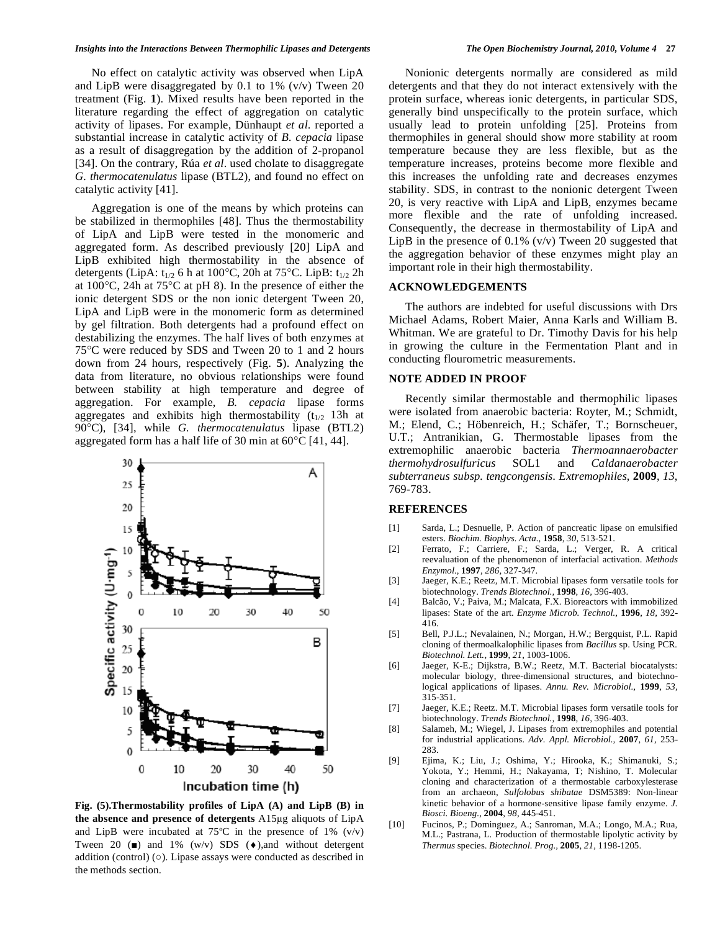No effect on catalytic activity was observed when LipA and LipB were disaggregated by 0.1 to 1%  $(v/v)$  Tween 20 treatment (Fig. **1**). Mixed results have been reported in the literature regarding the effect of aggregation on catalytic activity of lipases. For example, Dünhaupt *et al*. reported a substantial increase in catalytic activity of *B. cepacia* lipase as a result of disaggregation by the addition of 2-propanol [34]. On the contrary, Rúa *et al*. used cholate to disaggregate *G. thermocatenulatus* lipase (BTL2), and found no effect on catalytic activity [41].

 Aggregation is one of the means by which proteins can be stabilized in thermophiles [48]. Thus the thermostability of LipA and LipB were tested in the monomeric and aggregated form. As described previously [20] LipA and LipB exhibited high thermostability in the absence of detergents (LipA:  $t_{1/2}$  6 h at 100°C, 20h at 75°C. LipB:  $t_{1/2}$  2h at 100°C, 24h at 75°C at pH 8). In the presence of either the ionic detergent SDS or the non ionic detergent Tween 20, LipA and LipB were in the monomeric form as determined by gel filtration. Both detergents had a profound effect on destabilizing the enzymes. The half lives of both enzymes at 75°C were reduced by SDS and Tween 20 to 1 and 2 hours down from 24 hours, respectively (Fig. **5**). Analyzing the data from literature, no obvious relationships were found between stability at high temperature and degree of aggregation. For example, *B. cepacia* lipase forms aggregates and exhibits high thermostability  $(t_{1/2}$  13h at 90°C), [34], while *G. thermocatenulatus* lipase (BTL2) aggregated form has a half life of 30 min at 60°C [41, 44].



**Fig. (5).Thermostability profiles of LipA (A) and LipB (B) in the absence and presence of detergents** A15g aliquots of LipA and LipB were incubated at  $75^{\circ}$ C in the presence of 1% (v/v) Tween 20 ( $\blacksquare$ ) and 1% (w/v) SDS ( $\blacklozenge$ ), and without detergent addition (control)  $(0)$ . Lipase assays were conducted as described in the methods section.

 Nonionic detergents normally are considered as mild detergents and that they do not interact extensively with the protein surface, whereas ionic detergents, in particular SDS, generally bind unspecifically to the protein surface, which usually lead to protein unfolding [25]. Proteins from thermophiles in general should show more stability at room temperature because they are less flexible, but as the temperature increases, proteins become more flexible and this increases the unfolding rate and decreases enzymes stability. SDS, in contrast to the nonionic detergent Tween 20, is very reactive with LipA and LipB, enzymes became more flexible and the rate of unfolding increased. Consequently, the decrease in thermostability of LipA and LipB in the presence of  $0.1\%$  (v/v) Tween 20 suggested that the aggregation behavior of these enzymes might play an important role in their high thermostability.

## **ACKNOWLEDGEMENTS**

 The authors are indebted for useful discussions with Drs Michael Adams, Robert Maier, Anna Karls and William B. Whitman. We are grateful to Dr. Timothy Davis for his help in growing the culture in the Fermentation Plant and in conducting flourometric measurements.

#### **NOTE ADDED IN PROOF**

 Recently similar thermostable and thermophilic lipases were isolated from anaerobic bacteria: Royter, M.; Schmidt, M.; Elend, C.; Höbenreich, H.; Schäfer, T.; Bornscheuer, U.T.; Antranikian, G. Thermostable lipases from the extremophilic anaerobic bacteria *Thermoannaerobacter thermohydrosulfuricus* SOL1 and *Caldanaerobacter subterraneus subsp. tengcongensis*. *Extremophiles*, **2009**, *13*, 769-783.

#### **REFERENCES**

- [1] Sarda, L.; Desnuelle, P. Action of pancreatic lipase on emulsified esters. *Biochim. Biophys. Acta.,* **1958**, *30,* 513-521.
- [2] Ferrato, F.; Carriere, F.; Sarda, L.; Verger, R. A critical reevaluation of the phenomenon of interfacial activation. *Methods Enzymol.,* **1997**, *286,* 327-347.
- [3] Jaeger, K.E.; Reetz, M.T. Microbial lipases form versatile tools for biotechnology. *Trends Biotechnol.,* **1998**, *16,* 396-403.
- [4] Balcão, V.; Paiva, M.; Malcata, F.X. Bioreactors with immobilized lipases: State of the art. *Enzyme Microb. Technol.,* **1996**, *18,* 392- 416.
- [5] Bell, P.J.L.; Nevalainen, N.; Morgan, H.W.; Bergquist, P.L. Rapid cloning of thermoalkalophilic lipases from *Bacillus* sp. Using PCR*. Biotechnol. Lett.,* **1999**, *21,* 1003-1006.
- [6] Jaeger, K-E.; Dijkstra, B.W.; Reetz, M.T. Bacterial biocatalysts: molecular biology, three-dimensional structures, and biotechnological applications of lipases. *Annu. Rev. Microbiol.,* **1999**, *53,* 315-351.
- [7] Jaeger, K.E.; Reetz. M.T. Microbial lipases form versatile tools for biotechnology. *Trends Biotechnol.,* **1998**, *16,* 396-403.
- [8] Salameh, M.; Wiegel, J. Lipases from extremophiles and potential for industrial applications. *Adv. Appl. Microbiol.,* **2007**, *61,* 253- 283.
- [9] Ejima, K.; Liu, J.; Oshima, Y.; Hirooka, K.; Shimanuki, S.; Yokota, Y.; Hemmi, H.; Nakayama, T; Nishino, T. Molecular cloning and characterization of a thermostable carboxylesterase from an archaeon, *Sulfolobus shibatae* DSM5389: Non-linear kinetic behavior of a hormone-sensitive lipase family enzyme. *J. Biosci. Bioeng.,* **2004**, *98,* 445-451.
- [10] Fucinos, P.; Dominguez, A.; Sanroman, M.A.; Longo, M.A.; Rua, M.L.; Pastrana, L. Production of thermostable lipolytic activity by *Thermus* species. *Biotechnol. Prog.,* **2005**, *21,* 1198-1205.